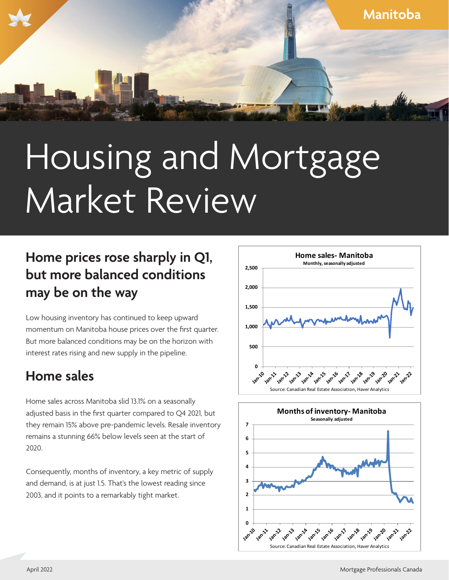

# Housing and Mortgage Market Review

### **Home prices rose sharply in Q1, but more balanced conditions may be on the way**

Low housing inventory has continued to keep upward momentum on Manitoba house prices over the first quarter. But more balanced conditions may be on the horizon with interest rates rising and new supply in the pipeline.

### **Home sales**

Home sales across Manitoba slid 13.1% on a seasonally adjusted basis in the first quarter compared to Q4 2021, but they remain 15% above pre-pandemic levels. Resale inventory remains a stunning 66% below levels seen at the start of 2020.

Consequently, months of inventory, a key metric of supply and demand, is at just 1.5. That's the lowest reading since 2003, and it points to a remarkably tight market.



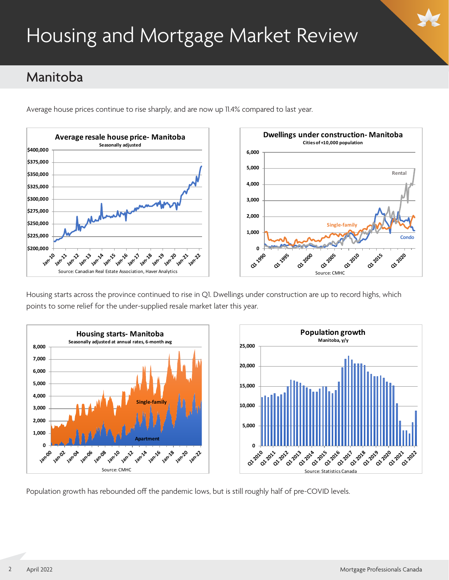## Housing and Mortgage Market Review

### Manitoba

Average house prices continue to rise sharply, and are now up 11.4% compared to last year.



Housing starts across the province continued to rise in Q1. Dwellings under construction are up to record highs, which points to some relief for the under-supplied resale market later this year.



Population growth has rebounded off the pandemic lows, but is still roughly half of pre-COVID levels.